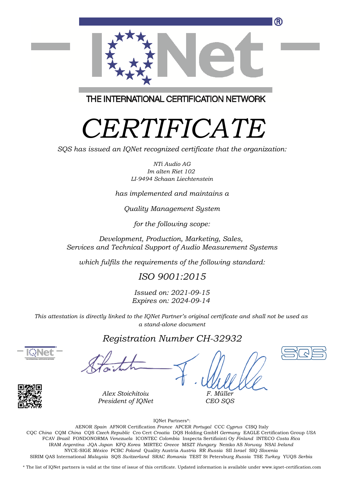

THE INTERNATIONAL CERTIFICATION NETWORK

# *CERTIFICATE*

*SQS has issued an IQNet recognized certificate that the organization:*

*NTi Audio AG Im alten Riet 102 LI-9494 Schaan Liechtenstein*

*has implemented and maintains a*

*Quality Management System*

*for the following scope:*

*Development, Production, Marketing, Sales, Services and Technical Support of Audio Measurement Systems*

*which fulfils the requirements of the following standard:*

### *ISO 9001:2015*

*Issued on: 2021-09-15 Expires on: 2024-09-14*

*This attestation is directly linked to the IQNet Partner's original certificate and shall not be used as a stand-alone document*

#### *Registration Number CH-32932*





*Alex Stoichitoiu President of IQNet*

*F. Müller CEO SQS*

IQNet Partners\*:

This annex is only valid in connection with the above-mentioned certificate. FCAV *Brazil* FONDONORMA *Venezuela* ICONTEC *Colombia* Inspecta Sertifiointi Oy *Finland* INTECO *Costa Rica* AENOR *Spain* AFNOR Certification *France* APCER *Portugal* CCC *Cyprus* CISQ Italy CQC *China* CQM *China* CQS *Czech Republic* Cro Cert *Croatia* DQS Holding GmbH *Germany* EAGLE Certification Group *USA* IRAM *Argentina* JQA *Japan* KFQ *Korea* MIRTEC *Greece* MSZT *Hungary* Nemko AS *Norway* NSAI *Ireland* NYCE-SIGE *México* PCBC *Poland* Quality Austria *Austria* RR *Russia* SII *Israel* SIQ *Slovenia* SIRIM QAS International *Malaysia* SQS *Switzerland* SRAC *Romania* TEST St Petersburg *Russia* TSE *Turkey* YUQS *Serbia*

\* The list of IQNet partners is valid at the time of issue of this certificate. Updated information is available under www.iqnet-certification.com